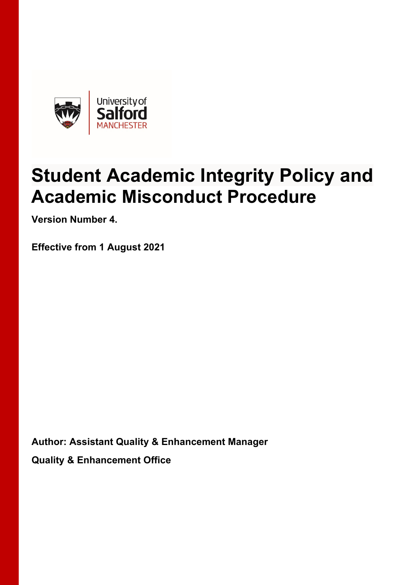

# **Student Academic Integrity Policy and Academic Misconduct Procedure**

**Version Number 4.** 

**Effective from 1 August 2021** 

**Author: Assistant Quality & Enhancement Manager Quality & Enhancement Office**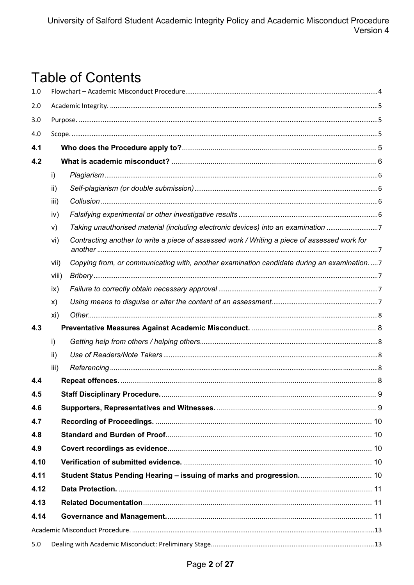# **Table of Contents**

| 1.0  |                 |                                                                                              |  |  |  |  |  |
|------|-----------------|----------------------------------------------------------------------------------------------|--|--|--|--|--|
| 2.0  |                 |                                                                                              |  |  |  |  |  |
| 3.0  |                 |                                                                                              |  |  |  |  |  |
| 4.0  |                 |                                                                                              |  |  |  |  |  |
| 4.1  |                 |                                                                                              |  |  |  |  |  |
| 4.2  |                 |                                                                                              |  |  |  |  |  |
|      | i)              |                                                                                              |  |  |  |  |  |
|      | ii)             |                                                                                              |  |  |  |  |  |
|      | iii)            |                                                                                              |  |  |  |  |  |
|      | iv)             |                                                                                              |  |  |  |  |  |
|      | V)              | Taking unauthorised material (including electronic devices) into an examination 7            |  |  |  |  |  |
|      | vi)             | Contracting another to write a piece of assessed work / Writing a piece of assessed work for |  |  |  |  |  |
|      | vii)            | Copying from, or communicating with, another examination candidate during an examination.  7 |  |  |  |  |  |
|      | viii)           |                                                                                              |  |  |  |  |  |
|      | ix)             |                                                                                              |  |  |  |  |  |
|      | X)              |                                                                                              |  |  |  |  |  |
|      | xi)             |                                                                                              |  |  |  |  |  |
| 4.3  |                 |                                                                                              |  |  |  |  |  |
|      | i)              |                                                                                              |  |  |  |  |  |
|      | $\mathsf{ii}$ ) |                                                                                              |  |  |  |  |  |
|      | iii)            |                                                                                              |  |  |  |  |  |
| 4.4  |                 |                                                                                              |  |  |  |  |  |
| 4.5  |                 |                                                                                              |  |  |  |  |  |
| 4.6  |                 |                                                                                              |  |  |  |  |  |
| 4.7  |                 |                                                                                              |  |  |  |  |  |
| 4.8  |                 |                                                                                              |  |  |  |  |  |
| 4.9  |                 |                                                                                              |  |  |  |  |  |
| 4.10 |                 |                                                                                              |  |  |  |  |  |
| 4.11 |                 | Student Status Pending Hearing - issuing of marks and progression 10                         |  |  |  |  |  |
| 4.12 |                 |                                                                                              |  |  |  |  |  |
| 4.13 |                 |                                                                                              |  |  |  |  |  |
| 4.14 |                 |                                                                                              |  |  |  |  |  |
|      |                 |                                                                                              |  |  |  |  |  |
| 5.0  |                 |                                                                                              |  |  |  |  |  |
|      |                 |                                                                                              |  |  |  |  |  |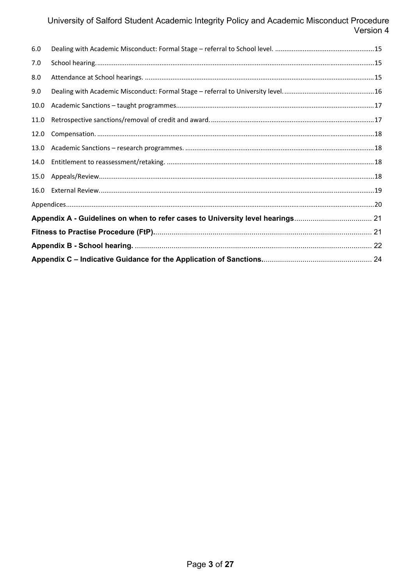| 6.0                                                                            |  |  |  |
|--------------------------------------------------------------------------------|--|--|--|
| 7.0                                                                            |  |  |  |
| 8.0                                                                            |  |  |  |
| 9.0                                                                            |  |  |  |
| 10.0                                                                           |  |  |  |
| 11.0                                                                           |  |  |  |
| 12.0                                                                           |  |  |  |
| 13.0                                                                           |  |  |  |
| 14.0                                                                           |  |  |  |
| 15.0                                                                           |  |  |  |
| 16.0                                                                           |  |  |  |
|                                                                                |  |  |  |
| Appendix A - Guidelines on when to refer cases to University level hearings 21 |  |  |  |
|                                                                                |  |  |  |
|                                                                                |  |  |  |
|                                                                                |  |  |  |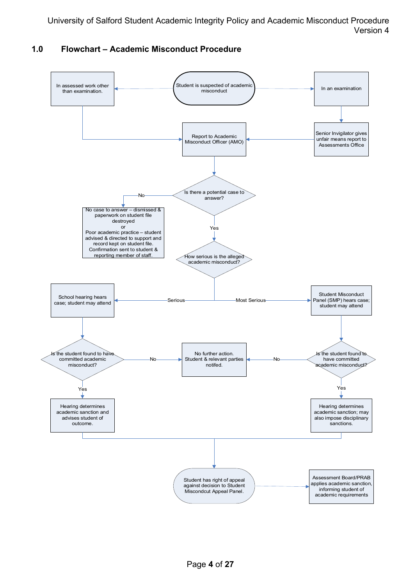

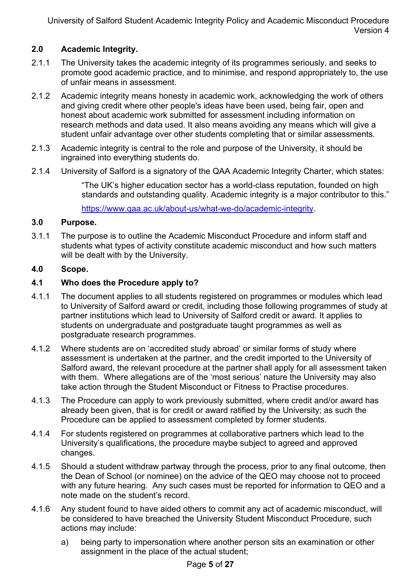### **2.0 Academic Integrity.**

- 2.1.1 The University takes the academic integrity of its programmes seriously, and seeks to promote good academic practice, and to minimise, and respond appropriately to, the use of unfair means in assessment.
- 2.1.2 Academic integrity means honesty in academic work, acknowledging the work of others and giving credit where other people's ideas have been used, being fair, open and honest about academic work submitted for assessment including information on research methods and data used. It also means avoiding any means which will give a student unfair advantage over other students completing that or similar assessments.
- 2.1.3 Academic integrity is central to the role and purpose of the University, it should be ingrained into everything students do.
- 2.1.4 University of Salford is a signatory of the QAA Academic Integrity Charter, which states:

"The UK's higher education sector has a world-class reputation, founded on high standards and outstanding quality. Academic integrity is a major contributor to this."

https://www.qaa.ac.uk/about-us/what-we-do/academic-integrity.

#### **3.0 Purpose.**

3.1.1 The purpose is to outline the Academic Misconduct Procedure and inform staff and students what types of activity constitute academic misconduct and how such matters will be dealt with by the University.

#### **4.0 Scope.**

#### **4.1 Who does the Procedure apply to?**

- 4.1.1 The document applies to all students registered on programmes or modules which lead to University of Salford award or credit, including those following programmes of study at partner institutions which lead to University of Salford credit or award. It applies to students on undergraduate and postgraduate taught programmes as well as postgraduate research programmes.
- 4.1.2 Where students are on 'accredited study abroad' or similar forms of study where assessment is undertaken at the partner, and the credit imported to the University of Salford award, the relevant procedure at the partner shall apply for all assessment taken with them. Where allegations are of the 'most serious' nature the University may also take action through the Student Misconduct or Fitness to Practise procedures.
- 4.1.3 The Procedure can apply to work previously submitted, where credit and/or award has already been given, that is for credit or award ratified by the University; as such the Procedure can be applied to assessment completed by former students.
- 4.1.4 For students registered on programmes at collaborative partners which lead to the University's qualifications, the procedure maybe subject to agreed and approved changes.
- 4.1.5 Should a student withdraw partway through the process, prior to any final outcome, then the Dean of School (or nominee) on the advice of the QEO may choose not to proceed with any future hearing. Any such cases must be reported for information to QEO and a note made on the student's record.
- 4.1.6 Any student found to have aided others to commit any act of academic misconduct, will be considered to have breached the University Student Misconduct Procedure, such actions may include:
	- a) being party to impersonation where another person sits an examination or other assignment in the place of the actual student;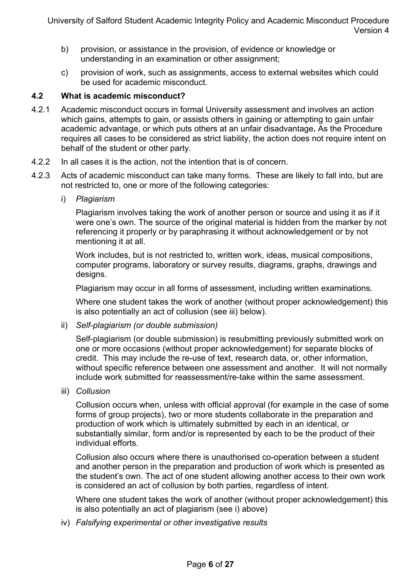- b) provision, or assistance in the provision, of evidence or knowledge or understanding in an examination or other assignment;
- c) provision of work, such as assignments, access to external websites which could be used for academic misconduct.

#### **4.2 What is academic misconduct?**

- 4.2.1 Academic misconduct occurs in formal University assessment and involves an action which gains, attempts to gain, or assists others in gaining or attempting to gain unfair academic advantage, or which puts others at an unfair disadvantage**.** As the Procedure requires all cases to be considered as strict liability, the action does not require intent on behalf of the student or other party.
- 4.2.2 In all cases it is the action, not the intention that is of concern.
- 4.2.3 Acts of academic misconduct can take many forms. These are likely to fall into, but are not restricted to, one or more of the following categories:
	- i) *Plagiarism*

 Plagiarism involves taking the work of another person or source and using it as if it were one's own. The source of the original material is hidden from the marker by not referencing it properly or by paraphrasing it without acknowledgement or by not mentioning it at all.

 Work includes, but is not restricted to, written work, ideas, musical compositions, computer programs, laboratory or survey results, diagrams, graphs, drawings and designs.

Plagiarism may occur in all forms of assessment, including written examinations.

 Where one student takes the work of another (without proper acknowledgement) this is also potentially an act of collusion (see iii) below).

ii) *Self-plagiarism (or double submission)* 

 Self-plagiarism (or double submission) is resubmitting previously submitted work on one or more occasions (without proper acknowledgement) for separate blocks of credit. This may include the re-use of text, research data, or, other information, without specific reference between one assessment and another. It will not normally include work submitted for reassessment/re-take within the same assessment.

iii) *Collusion* 

 Collusion occurs when, unless with official approval (for example in the case of some forms of group projects), two or more students collaborate in the preparation and production of work which is ultimately submitted by each in an identical, or substantially similar, form and/or is represented by each to be the product of their individual efforts.

 Collusion also occurs where there is unauthorised co-operation between a student and another person in the preparation and production of work which is presented as the student's own. The act of one student allowing another access to their own work is considered an act of collusion by both parties, regardless of intent.

 Where one student takes the work of another (without proper acknowledgement) this is also potentially an act of plagiarism (see i) above)

iv) *Falsifying experimental or other investigative results*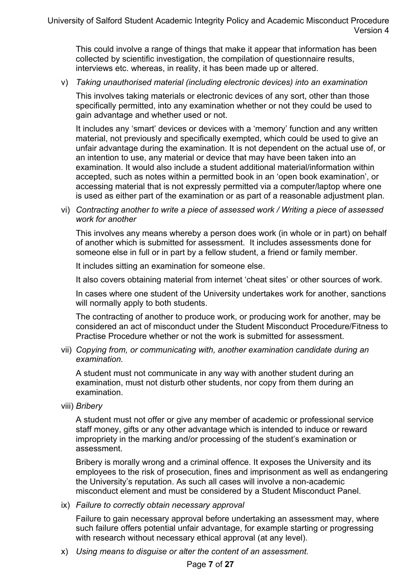This could involve a range of things that make it appear that information has been collected by scientific investigation, the compilation of questionnaire results, interviews etc. whereas, in reality, it has been made up or altered.

v) *Taking unauthorised material (including electronic devices) into an examination* 

 This involves taking materials or electronic devices of any sort, other than those specifically permitted, into any examination whether or not they could be used to gain advantage and whether used or not.

 It includes any 'smart' devices or devices with a 'memory' function and any written material, not previously and specifically exempted, which could be used to give an unfair advantage during the examination. It is not dependent on the actual use of, or an intention to use, any material or device that may have been taken into an examination. It would also include a student additional material/information within accepted, such as notes within a permitted book in an 'open book examination', or accessing material that is not expressly permitted via a computer/laptop where one is used as either part of the examination or as part of a reasonable adjustment plan.

vi) *Contracting another to write a piece of assessed work / Writing a piece of assessed work for another* 

 This involves any means whereby a person does work (in whole or in part) on behalf of another which is submitted for assessment. It includes assessments done for someone else in full or in part by a fellow student, a friend or family member.

It includes sitting an examination for someone else.

It also covers obtaining material from internet 'cheat sites' or other sources of work.

 In cases where one student of the University undertakes work for another, sanctions will normally apply to both students.

 The contracting of another to produce work, or producing work for another, may be considered an act of misconduct under the Student Misconduct Procedure/Fitness to Practise Procedure whether or not the work is submitted for assessment.

vii) *Copying from, or communicating with, another examination candidate during an examination.* 

 A student must not communicate in any way with another student during an examination, must not disturb other students, nor copy from them during an examination.

viii) *Bribery* 

 A student must not offer or give any member of academic or professional service staff money, gifts or any other advantage which is intended to induce or reward impropriety in the marking and/or processing of the student's examination or assessment.

 Bribery is morally wrong and a criminal offence. It exposes the University and its employees to the risk of prosecution, fines and imprisonment as well as endangering the University's reputation. As such all cases will involve a non-academic misconduct element and must be considered by a Student Misconduct Panel.

ix) *Failure to correctly obtain necessary approval* 

Failure to gain necessary approval before undertaking an assessment may, where such failure offers potential unfair advantage, for example starting or progressing with research without necessary ethical approval (at any level).

x) *Using means to disguise or alter the content of an assessment.*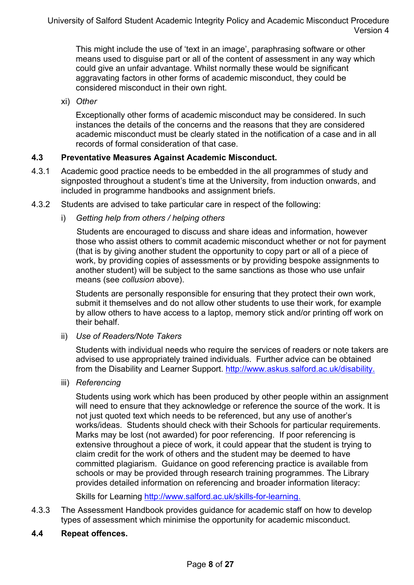This might include the use of 'text in an image', paraphrasing software or other means used to disguise part or all of the content of assessment in any way which could give an unfair advantage. Whilst normally these would be significant aggravating factors in other forms of academic misconduct, they could be considered misconduct in their own right.

xi) *Other* 

Exceptionally other forms of academic misconduct may be considered. In such instances the details of the concerns and the reasons that they are considered academic misconduct must be clearly stated in the notification of a case and in all records of formal consideration of that case.

# **4.3 Preventative Measures Against Academic Misconduct.**

- 4.3.1 Academic good practice needs to be embedded in the all programmes of study and signposted throughout a student's time at the University, from induction onwards, and included in programme handbooks and assignment briefs.
- 4.3.2 Students are advised to take particular care in respect of the following:
	- i) *Getting help from others / helping others*

Students are encouraged to discuss and share ideas and information, however those who assist others to commit academic misconduct whether or not for payment (that is by giving another student the opportunity to copy part or all of a piece of work, by providing copies of assessments or by providing bespoke assignments to another student) will be subject to the same sanctions as those who use unfair means (see *collusion* above).

Students are personally responsible for ensuring that they protect their own work, submit it themselves and do not allow other students to use their work, for example by allow others to have access to a laptop, memory stick and/or printing off work on their behalf.

ii) *Use of Readers/Note Takers* 

 Students with individual needs who require the services of readers or note takers are advised to use appropriately trained individuals. Further advice can be obtained from the Disability and Learner Support. http://www.askus.salford.ac.uk/disability.

iii) *Referencing* 

 Students using work which has been produced by other people within an assignment will need to ensure that they acknowledge or reference the source of the work. It is not just quoted text which needs to be referenced, but any use of another's works/ideas. Students should check with their Schools for particular requirements. Marks may be lost (not awarded) for poor referencing. If poor referencing is extensive throughout a piece of work, it could appear that the student is trying to claim credit for the work of others and the student may be deemed to have committed plagiarism. Guidance on good referencing practice is available from schools or may be provided through research training programmes. The Library provides detailed information on referencing and broader information literacy:

Skills for Learning http://www.salford.ac.uk/skills-for-learning.

- 4.3.3 The Assessment Handbook provides guidance for academic staff on how to develop types of assessment which minimise the opportunity for academic misconduct.
- **4.4 Repeat offences.**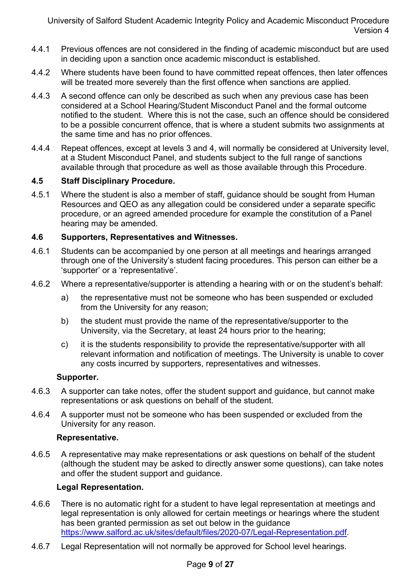- 4.4.1 Previous offences are not considered in the finding of academic misconduct but are used in deciding upon a sanction once academic misconduct is established.
- 4.4.2 Where students have been found to have committed repeat offences, then later offences will be treated more severely than the first offence when sanctions are applied.
- 4.4.3 A second offence can only be described as such when any previous case has been considered at a School Hearing/Student Misconduct Panel and the formal outcome notified to the student. Where this is not the case, such an offence should be considered to be a possible concurrent offence, that is where a student submits two assignments at the same time and has no prior offences.
- 4.4.4 Repeat offences, except at levels 3 and 4, will normally be considered at University level, at a Student Misconduct Panel, and students subject to the full range of sanctions available through that procedure as well as those available through this Procedure.

#### **4.5 Staff Disciplinary Procedure.**

4.5.1 Where the student is also a member of staff, guidance should be sought from Human Resources and QEO as any allegation could be considered under a separate specific procedure, or an agreed amended procedure for example the constitution of a Panel hearing may be amended.

#### **4.6 Supporters, Representatives and Witnesses.**

- 4.6.1 Students can be accompanied by one person at all meetings and hearings arranged through one of the University's student facing procedures. This person can either be a 'supporter' or a 'representative'.
- 4.6.2 Where a representative/supporter is attending a hearing with or on the student's behalf:
	- a) the representative must not be someone who has been suspended or excluded from the University for any reason;
	- b) the student must provide the name of the representative/supporter to the University, via the Secretary, at least 24 hours prior to the hearing;
	- c) it is the students responsibility to provide the representative/supporter with all relevant information and notification of meetings. The University is unable to cover any costs incurred by supporters, representatives and witnesses.

#### **Supporter.**

- 4.6.3 A supporter can take notes, offer the student support and guidance, but cannot make representations or ask questions on behalf of the student.
- 4.6.4 A supporter must not be someone who has been suspended or excluded from the University for any reason.

#### **Representative.**

4.6.5 A representative may make representations or ask questions on behalf of the student (although the student may be asked to directly answer some questions), can take notes and offer the student support and guidance.

#### **Legal Representation.**

- 4.6.6 There is no automatic right for a student to have legal representation at meetings and legal representation is only allowed for certain meetings or hearings where the student has been granted permission as set out below in the guidance https://www.salford.ac.uk/sites/default/files/2020-07/Legal-Representation.pdf.
- 4.6.7 Legal Representation will not normally be approved for School level hearings.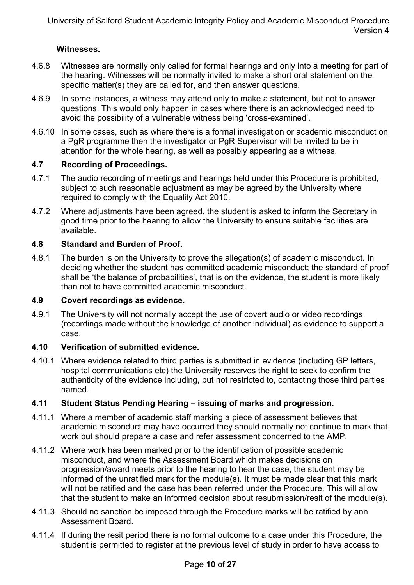#### **Witnesses.**

- 4.6.8 Witnesses are normally only called for formal hearings and only into a meeting for part of the hearing. Witnesses will be normally invited to make a short oral statement on the specific matter(s) they are called for, and then answer questions.
- 4.6.9 In some instances, a witness may attend only to make a statement, but not to answer questions. This would only happen in cases where there is an acknowledged need to avoid the possibility of a vulnerable witness being 'cross-examined'.
- 4.6.10 In some cases, such as where there is a formal investigation or academic misconduct on a PgR programme then the investigator or PgR Supervisor will be invited to be in attention for the whole hearing, as well as possibly appearing as a witness.

### **4.7 Recording of Proceedings.**

- 4.7.1 The audio recording of meetings and hearings held under this Procedure is prohibited, subject to such reasonable adjustment as may be agreed by the University where required to comply with the Equality Act 2010.
- 4.7.2 Where adjustments have been agreed, the student is asked to inform the Secretary in good time prior to the hearing to allow the University to ensure suitable facilities are available.

### **4.8 Standard and Burden of Proof.**

4.8.1 The burden is on the University to prove the allegation(s) of academic misconduct. In deciding whether the student has committed academic misconduct; the standard of proof shall be 'the balance of probabilities', that is on the evidence, the student is more likely than not to have committed academic misconduct.

#### **4.9 Covert recordings as evidence.**

4.9.1 The University will not normally accept the use of covert audio or video recordings (recordings made without the knowledge of another individual) as evidence to support a case.

#### **4.10 Verification of submitted evidence.**

4.10.1 Where evidence related to third parties is submitted in evidence (including GP letters, hospital communications etc) the University reserves the right to seek to confirm the authenticity of the evidence including, but not restricted to, contacting those third parties named.

#### **4.11 Student Status Pending Hearing – issuing of marks and progression.**

- 4.11.1 Where a member of academic staff marking a piece of assessment believes that academic misconduct may have occurred they should normally not continue to mark that work but should prepare a case and refer assessment concerned to the AMP.
- 4.11.2 Where work has been marked prior to the identification of possible academic misconduct, and where the Assessment Board which makes decisions on progression/award meets prior to the hearing to hear the case, the student may be informed of the unratified mark for the module(s). It must be made clear that this mark will not be ratified and the case has been referred under the Procedure. This will allow that the student to make an informed decision about resubmission/resit of the module(s).
- 4.11.3 Should no sanction be imposed through the Procedure marks will be ratified by ann Assessment Board.
- 4.11.4 If during the resit period there is no formal outcome to a case under this Procedure, the student is permitted to register at the previous level of study in order to have access to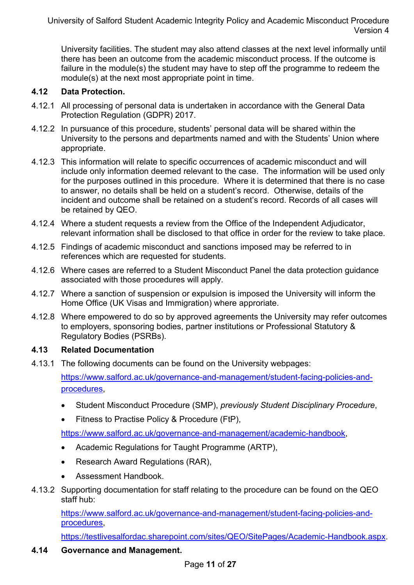University facilities. The student may also attend classes at the next level informally until there has been an outcome from the academic misconduct process. If the outcome is failure in the module(s) the student may have to step off the programme to redeem the module(s) at the next most appropriate point in time.

# **4.12 Data Protection.**

- 4.12.1 All processing of personal data is undertaken in accordance with the General Data Protection Regulation (GDPR) 2017.
- 4.12.2 In pursuance of this procedure, students' personal data will be shared within the University to the persons and departments named and with the Students' Union where appropriate.
- 4.12.3 This information will relate to specific occurrences of academic misconduct and will include only information deemed relevant to the case. The information will be used only for the purposes outlined in this procedure. Where it is determined that there is no case to answer, no details shall be held on a student's record. Otherwise, details of the incident and outcome shall be retained on a student's record. Records of all cases will be retained by QEO.
- 4.12.4 Where a student requests a review from the Office of the Independent Adjudicator, relevant information shall be disclosed to that office in order for the review to take place.
- 4.12.5 Findings of academic misconduct and sanctions imposed may be referred to in references which are requested for students.
- 4.12.6 Where cases are referred to a Student Misconduct Panel the data protection guidance associated with those procedures will apply.
- 4.12.7 Where a sanction of suspension or expulsion is imposed the University will inform the Home Office (UK Visas and Immigration) where approriate.
- 4.12.8 Where empowered to do so by approved agreements the University may refer outcomes to employers, sponsoring bodies, partner institutions or Professional Statutory & Regulatory Bodies (PSRBs).

#### **4.13 Related Documentation**

4.13.1 The following documents can be found on the University webpages:

https://www.salford.ac.uk/governance-and-management/student-facing-policies-andprocedures,

- Student Misconduct Procedure (SMP), *previously Student Disciplinary Procedure*,
- Fitness to Practise Policy & Procedure (FtP),

https://www.salford.ac.uk/governance-and-management/academic-handbook,

- Academic Regulations for Taught Programme (ARTP).
- Research Award Regulations (RAR),
- Assessment Handbook.
- 4.13.2 Supporting documentation for staff relating to the procedure can be found on the QEO staff hub:

https://www.salford.ac.uk/governance-and-management/student-facing-policies-andprocedures,

https://testlivesalfordac.sharepoint.com/sites/QEO/SitePages/Academic-Handbook.aspx.

#### **4.14 Governance and Management.**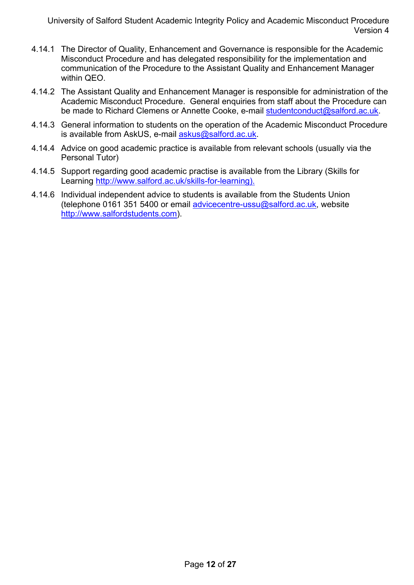- 4.14.1 The Director of Quality, Enhancement and Governance is responsible for the Academic Misconduct Procedure and has delegated responsibility for the implementation and communication of the Procedure to the Assistant Quality and Enhancement Manager within QEO.
- 4.14.2 The Assistant Quality and Enhancement Manager is responsible for administration of the Academic Misconduct Procedure. General enquiries from staff about the Procedure can be made to Richard Clemens or Annette Cooke, e-mail studentconduct@salford.ac.uk.
- 4.14.3 General information to students on the operation of the Academic Misconduct Procedure is available from AskUS, e-mail askus@salford.ac.uk.
- 4.14.4 Advice on good academic practice is available from relevant schools (usually via the Personal Tutor)
- 4.14.5 Support regarding good academic practise is available from the Library (Skills for Learning http://www.salford.ac.uk/skills-for-learning).
- 4.14.6 Individual independent advice to students is available from the Students Union (telephone 0161 351 5400 or email advicecentre-ussu@salford.ac.uk, website http://www.salfordstudents.com).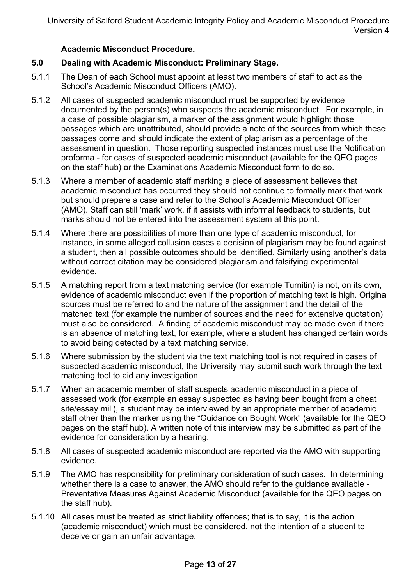#### **Academic Misconduct Procedure.**

#### **5.0 Dealing with Academic Misconduct: Preliminary Stage.**

- 5.1.1 The Dean of each School must appoint at least two members of staff to act as the School's Academic Misconduct Officers (AMO).
- 5.1.2 All cases of suspected academic misconduct must be supported by evidence documented by the person(s) who suspects the academic misconduct. For example, in a case of possible plagiarism, a marker of the assignment would highlight those passages which are unattributed, should provide a note of the sources from which these passages come and should indicate the extent of plagiarism as a percentage of the assessment in question. Those reporting suspected instances must use the Notification proforma - for cases of suspected academic misconduct (available for the QEO pages on the staff hub) or the Examinations Academic Misconduct form to do so.
- 5.1.3 Where a member of academic staff marking a piece of assessment believes that academic misconduct has occurred they should not continue to formally mark that work but should prepare a case and refer to the School's Academic Misconduct Officer (AMO). Staff can still 'mark' work, if it assists with informal feedback to students, but marks should not be entered into the assessment system at this point.
- 5.1.4 Where there are possibilities of more than one type of academic misconduct, for instance, in some alleged collusion cases a decision of plagiarism may be found against a student, then all possible outcomes should be identified. Similarly using another's data without correct citation may be considered plagiarism and falsifying experimental evidence.
- 5.1.5 A matching report from a text matching service (for example Turnitin) is not, on its own, evidence of academic misconduct even if the proportion of matching text is high. Original sources must be referred to and the nature of the assignment and the detail of the matched text (for example the number of sources and the need for extensive quotation) must also be considered. A finding of academic misconduct may be made even if there is an absence of matching text, for example, where a student has changed certain words to avoid being detected by a text matching service.
- 5.1.6 Where submission by the student via the text matching tool is not required in cases of suspected academic misconduct, the University may submit such work through the text matching tool to aid any investigation.
- 5.1.7 When an academic member of staff suspects academic misconduct in a piece of assessed work (for example an essay suspected as having been bought from a cheat site/essay mill), a student may be interviewed by an appropriate member of academic staff other than the marker using the "Guidance on Bought Work" (available for the QEO pages on the staff hub). A written note of this interview may be submitted as part of the evidence for consideration by a hearing.
- 5.1.8 All cases of suspected academic misconduct are reported via the AMO with supporting evidence.
- 5.1.9 The AMO has responsibility for preliminary consideration of such cases. In determining whether there is a case to answer, the AMO should refer to the guidance available - Preventative Measures Against Academic Misconduct (available for the QEO pages on the staff hub).
- 5.1.10 All cases must be treated as strict liability offences; that is to say, it is the action (academic misconduct) which must be considered, not the intention of a student to deceive or gain an unfair advantage.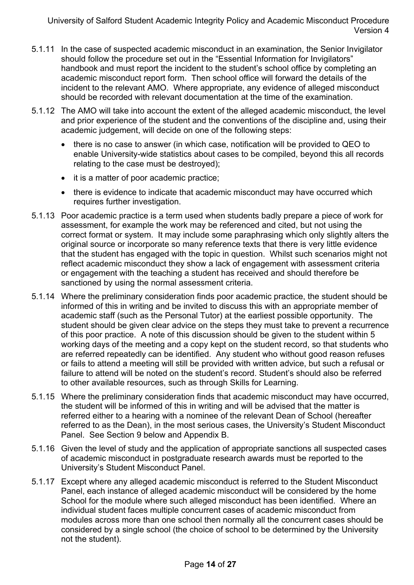- 5.1.11 In the case of suspected academic misconduct in an examination, the Senior Invigilator should follow the procedure set out in the "Essential Information for Invigilators" handbook and must report the incident to the student's school office by completing an academic misconduct report form. Then school office will forward the details of the incident to the relevant AMO. Where appropriate, any evidence of alleged misconduct should be recorded with relevant documentation at the time of the examination.
- 5.1.12 The AMO will take into account the extent of the alleged academic misconduct, the level and prior experience of the student and the conventions of the discipline and, using their academic judgement, will decide on one of the following steps:
	- there is no case to answer (in which case, notification will be provided to QEO to enable University-wide statistics about cases to be compiled, beyond this all records relating to the case must be destroyed);
	- it is a matter of poor academic practice;
	- there is evidence to indicate that academic misconduct may have occurred which requires further investigation.
- 5.1.13 Poor academic practice is a term used when students badly prepare a piece of work for assessment, for example the work may be referenced and cited, but not using the correct format or system. It may include some paraphrasing which only slightly alters the original source or incorporate so many reference texts that there is very little evidence that the student has engaged with the topic in question. Whilst such scenarios might not reflect academic misconduct they show a lack of engagement with assessment criteria or engagement with the teaching a student has received and should therefore be sanctioned by using the normal assessment criteria.
- 5.1.14 Where the preliminary consideration finds poor academic practice, the student should be informed of this in writing and be invited to discuss this with an appropriate member of academic staff (such as the Personal Tutor) at the earliest possible opportunity. The student should be given clear advice on the steps they must take to prevent a recurrence of this poor practice. A note of this discussion should be given to the student within 5 working days of the meeting and a copy kept on the student record, so that students who are referred repeatedly can be identified. Any student who without good reason refuses or fails to attend a meeting will still be provided with written advice, but such a refusal or failure to attend will be noted on the student's record. Student's should also be referred to other available resources, such as through Skills for Learning.
- 5.1.15 Where the preliminary consideration finds that academic misconduct may have occurred, the student will be informed of this in writing and will be advised that the matter is referred either to a hearing with a nominee of the relevant Dean of School (hereafter referred to as the Dean), in the most serious cases, the University's Student Misconduct Panel. See Section 9 below and Appendix B.
- 5.1.16 Given the level of study and the application of appropriate sanctions all suspected cases of academic misconduct in postgraduate research awards must be reported to the University's Student Misconduct Panel.
- 5.1.17 Except where any alleged academic misconduct is referred to the Student Misconduct Panel, each instance of alleged academic misconduct will be considered by the home School for the module where such alleged misconduct has been identified. Where an individual student faces multiple concurrent cases of academic misconduct from modules across more than one school then normally all the concurrent cases should be considered by a single school (the choice of school to be determined by the University not the student).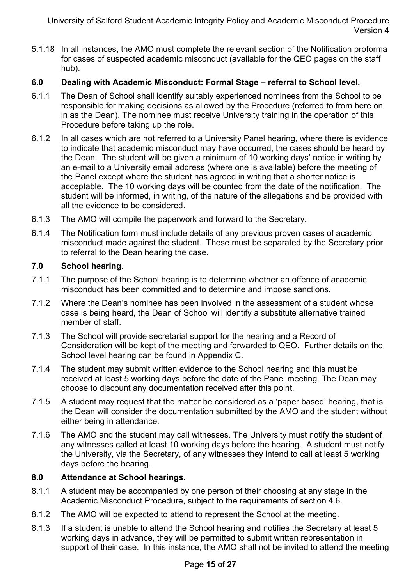5.1.18 In all instances, the AMO must complete the relevant section of the Notification proforma for cases of suspected academic misconduct (available for the QEO pages on the staff hub).

# **6.0 Dealing with Academic Misconduct: Formal Stage – referral to School level.**

- 6.1.1 The Dean of School shall identify suitably experienced nominees from the School to be responsible for making decisions as allowed by the Procedure (referred to from here on in as the Dean). The nominee must receive University training in the operation of this Procedure before taking up the role.
- 6.1.2 In all cases which are not referred to a University Panel hearing, where there is evidence to indicate that academic misconduct may have occurred, the cases should be heard by the Dean. The student will be given a minimum of 10 working days' notice in writing by an e-mail to a University email address (where one is available) before the meeting of the Panel except where the student has agreed in writing that a shorter notice is acceptable. The 10 working days will be counted from the date of the notification. The student will be informed, in writing, of the nature of the allegations and be provided with all the evidence to be considered.
- 6.1.3 The AMO will compile the paperwork and forward to the Secretary.
- 6.1.4 The Notification form must include details of any previous proven cases of academic misconduct made against the student. These must be separated by the Secretary prior to referral to the Dean hearing the case.

#### **7.0 School hearing.**

- 7.1.1 The purpose of the School hearing is to determine whether an offence of academic misconduct has been committed and to determine and impose sanctions.
- 7.1.2 Where the Dean's nominee has been involved in the assessment of a student whose case is being heard, the Dean of School will identify a substitute alternative trained member of staff.
- 7.1.3 The School will provide secretarial support for the hearing and a Record of Consideration will be kept of the meeting and forwarded to QEO. Further details on the School level hearing can be found in Appendix C.
- 7.1.4 The student may submit written evidence to the School hearing and this must be received at least 5 working days before the date of the Panel meeting. The Dean may choose to discount any documentation received after this point.
- 7.1.5 A student may request that the matter be considered as a 'paper based' hearing, that is the Dean will consider the documentation submitted by the AMO and the student without either being in attendance.
- 7.1.6 The AMO and the student may call witnesses. The University must notify the student of any witnesses called at least 10 working days before the hearing. A student must notify the University, via the Secretary, of any witnesses they intend to call at least 5 working days before the hearing.

#### **8.0 Attendance at School hearings.**

- 8.1.1 A student may be accompanied by one person of their choosing at any stage in the Academic Misconduct Procedure, subject to the requirements of section 4.6.
- 8.1.2 The AMO will be expected to attend to represent the School at the meeting.
- 8.1.3 If a student is unable to attend the School hearing and notifies the Secretary at least 5 working days in advance, they will be permitted to submit written representation in support of their case. In this instance, the AMO shall not be invited to attend the meeting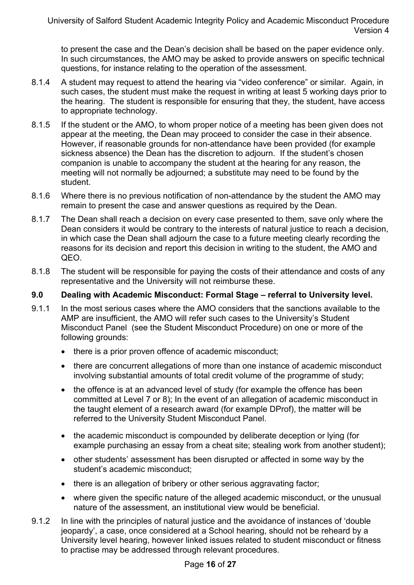to present the case and the Dean's decision shall be based on the paper evidence only. In such circumstances, the AMO may be asked to provide answers on specific technical questions, for instance relating to the operation of the assessment.

- 8.1.4 A student may request to attend the hearing via "video conference" or similar. Again, in such cases, the student must make the request in writing at least 5 working days prior to the hearing. The student is responsible for ensuring that they, the student, have access to appropriate technology.
- 8.1.5 If the student or the AMO, to whom proper notice of a meeting has been given does not appear at the meeting, the Dean may proceed to consider the case in their absence. However, if reasonable grounds for non-attendance have been provided (for example sickness absence) the Dean has the discretion to adjourn. If the student's chosen companion is unable to accompany the student at the hearing for any reason, the meeting will not normally be adjourned; a substitute may need to be found by the student.
- 8.1.6 Where there is no previous notification of non-attendance by the student the AMO may remain to present the case and answer questions as required by the Dean.
- 8.1.7 The Dean shall reach a decision on every case presented to them, save only where the Dean considers it would be contrary to the interests of natural justice to reach a decision, in which case the Dean shall adjourn the case to a future meeting clearly recording the reasons for its decision and report this decision in writing to the student, the AMO and QEO.
- 8.1.8 The student will be responsible for paying the costs of their attendance and costs of any representative and the University will not reimburse these.

#### **9.0 Dealing with Academic Misconduct: Formal Stage – referral to University level.**

- 9.1.1 In the most serious cases where the AMO considers that the sanctions available to the AMP are insufficient, the AMO will refer such cases to the University's Student Misconduct Panel (see the Student Misconduct Procedure) on one or more of the following grounds:
	- there is a prior proven offence of academic misconduct;
	- there are concurrent allegations of more than one instance of academic misconduct involving substantial amounts of total credit volume of the programme of study;
	- the offence is at an advanced level of study (for example the offence has been committed at Level 7 or 8); In the event of an allegation of academic misconduct in the taught element of a research award (for example DProf), the matter will be referred to the University Student Misconduct Panel.
	- the academic misconduct is compounded by deliberate deception or lying (for example purchasing an essay from a cheat site; stealing work from another student);
	- other students' assessment has been disrupted or affected in some way by the student's academic misconduct;
	- there is an allegation of bribery or other serious aggravating factor;
	- where given the specific nature of the alleged academic misconduct, or the unusual nature of the assessment, an institutional view would be beneficial.
- 9.1.2 In line with the principles of natural justice and the avoidance of instances of 'double jeopardy', a case, once considered at a School hearing, should not be reheard by a University level hearing, however linked issues related to student misconduct or fitness to practise may be addressed through relevant procedures.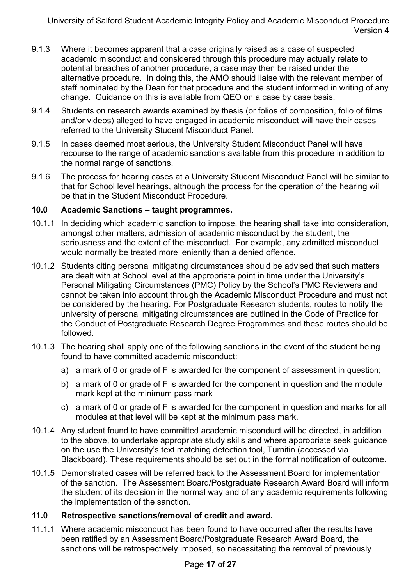- 9.1.3 Where it becomes apparent that a case originally raised as a case of suspected academic misconduct and considered through this procedure may actually relate to potential breaches of another procedure, a case may then be raised under the alternative procedure. In doing this, the AMO should liaise with the relevant member of staff nominated by the Dean for that procedure and the student informed in writing of any change. Guidance on this is available from QEO on a case by case basis.
- 9.1.4 Students on research awards examined by thesis (or folios of composition, folio of films and/or videos) alleged to have engaged in academic misconduct will have their cases referred to the University Student Misconduct Panel.
- 9.1.5 In cases deemed most serious, the University Student Misconduct Panel will have recourse to the range of academic sanctions available from this procedure in addition to the normal range of sanctions.
- 9.1.6 The process for hearing cases at a University Student Misconduct Panel will be similar to that for School level hearings, although the process for the operation of the hearing will be that in the Student Misconduct Procedure.

#### **10.0 Academic Sanctions – taught programmes.**

- 10.1.1 In deciding which academic sanction to impose, the hearing shall take into consideration, amongst other matters, admission of academic misconduct by the student, the seriousness and the extent of the misconduct. For example, any admitted misconduct would normally be treated more leniently than a denied offence.
- 10.1.2 Students citing personal mitigating circumstances should be advised that such matters are dealt with at School level at the appropriate point in time under the University's Personal Mitigating Circumstances (PMC) Policy by the School's PMC Reviewers and cannot be taken into account through the Academic Misconduct Procedure and must not be considered by the hearing. For Postgraduate Research students, routes to notify the university of personal mitigating circumstances are outlined in the Code of Practice for the Conduct of Postgraduate Research Degree Programmes and these routes should be followed.
- 10.1.3 The hearing shall apply one of the following sanctions in the event of the student being found to have committed academic misconduct:
	- a) a mark of 0 or grade of F is awarded for the component of assessment in question;
	- b) a mark of 0 or grade of F is awarded for the component in question and the module mark kept at the minimum pass mark
	- c) a mark of 0 or grade of F is awarded for the component in question and marks for all modules at that level will be kept at the minimum pass mark.
- 10.1.4 Any student found to have committed academic misconduct will be directed, in addition to the above, to undertake appropriate study skills and where appropriate seek guidance on the use the University's text matching detection tool, Turnitin (accessed via Blackboard). These requirements should be set out in the formal notification of outcome.
- 10.1.5 Demonstrated cases will be referred back to the Assessment Board for implementation of the sanction. The Assessment Board/Postgraduate Research Award Board will inform the student of its decision in the normal way and of any academic requirements following the implementation of the sanction.

#### **11.0 Retrospective sanctions/removal of credit and award.**

11.1.1 Where academic misconduct has been found to have occurred after the results have been ratified by an Assessment Board/Postgraduate Research Award Board, the sanctions will be retrospectively imposed, so necessitating the removal of previously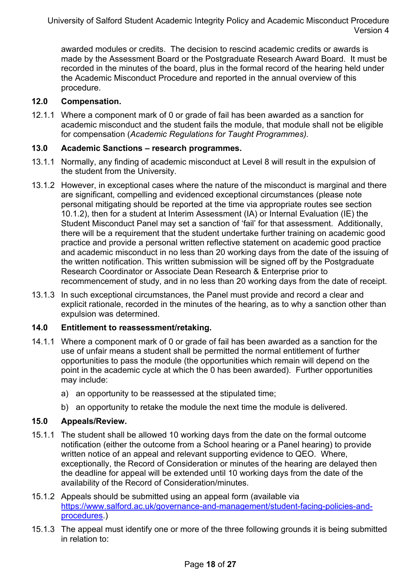awarded modules or credits. The decision to rescind academic credits or awards is made by the Assessment Board or the Postgraduate Research Award Board. It must be recorded in the minutes of the board, plus in the formal record of the hearing held under the Academic Misconduct Procedure and reported in the annual overview of this procedure.

#### **12.0 Compensation.**

12.1.1 Where a component mark of 0 or grade of fail has been awarded as a sanction for academic misconduct and the student fails the module, that module shall not be eligible for compensation (*Academic Regulations for Taught Programmes).*

### **13.0 Academic Sanctions – research programmes.**

- 13.1.1 Normally, any finding of academic misconduct at Level 8 will result in the expulsion of the student from the University.
- 13.1.2 However, in exceptional cases where the nature of the misconduct is marginal and there are significant, compelling and evidenced exceptional circumstances (please note personal mitigating should be reported at the time via appropriate routes see section 10.1.2), then for a student at Interim Assessment (IA) or Internal Evaluation (IE) the Student Misconduct Panel may set a sanction of 'fail' for that assessment. Additionally, there will be a requirement that the student undertake further training on academic good practice and provide a personal written reflective statement on academic good practice and academic misconduct in no less than 20 working days from the date of the issuing of the written notification. This written submission will be signed off by the Postgraduate Research Coordinator or Associate Dean Research & Enterprise prior to recommencement of study, and in no less than 20 working days from the date of receipt.
- 13.1.3 In such exceptional circumstances, the Panel must provide and record a clear and explicit rationale, recorded in the minutes of the hearing, as to why a sanction other than expulsion was determined.

#### **14.0 Entitlement to reassessment/retaking.**

- 14.1.1 Where a component mark of 0 or grade of fail has been awarded as a sanction for the use of unfair means a student shall be permitted the normal entitlement of further opportunities to pass the module (the opportunities which remain will depend on the point in the academic cycle at which the 0 has been awarded). Further opportunities may include:
	- a) an opportunity to be reassessed at the stipulated time;
	- b) an opportunity to retake the module the next time the module is delivered.

# **15.0 Appeals/Review.**

- 15.1.1 The student shall be allowed 10 working days from the date on the formal outcome notification (either the outcome from a School hearing or a Panel hearing) to provide written notice of an appeal and relevant supporting evidence to QEO. Where, exceptionally, the Record of Consideration or minutes of the hearing are delayed then the deadline for appeal will be extended until 10 working days from the date of the availability of the Record of Consideration/minutes.
- 15.1.2 Appeals should be submitted using an appeal form (available via https://www.salford.ac.uk/governance-and-management/student-facing-policies-andprocedures.)
- 15.1.3 The appeal must identify one or more of the three following grounds it is being submitted in relation to: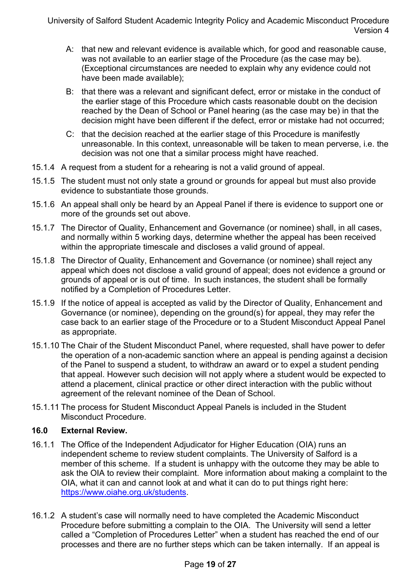- A: that new and relevant evidence is available which, for good and reasonable cause, was not available to an earlier stage of the Procedure (as the case may be). (Exceptional circumstances are needed to explain why any evidence could not have been made available);
- B: that there was a relevant and significant defect, error or mistake in the conduct of the earlier stage of this Procedure which casts reasonable doubt on the decision reached by the Dean of School or Panel hearing (as the case may be) in that the decision might have been different if the defect, error or mistake had not occurred;
- C: that the decision reached at the earlier stage of this Procedure is manifestly unreasonable. In this context, unreasonable will be taken to mean perverse, i.e. the decision was not one that a similar process might have reached.
- 15.1.4 A request from a student for a rehearing is not a valid ground of appeal.
- 15.1.5 The student must not only state a ground or grounds for appeal but must also provide evidence to substantiate those grounds.
- 15.1.6 An appeal shall only be heard by an Appeal Panel if there is evidence to support one or more of the grounds set out above.
- 15.1.7 The Director of Quality, Enhancement and Governance (or nominee) shall, in all cases, and normally within 5 working days, determine whether the appeal has been received within the appropriate timescale and discloses a valid ground of appeal.
- 15.1.8 The Director of Quality, Enhancement and Governance (or nominee) shall reject any appeal which does not disclose a valid ground of appeal; does not evidence a ground or grounds of appeal or is out of time. In such instances, the student shall be formally notified by a Completion of Procedures Letter.
- 15.1.9 If the notice of appeal is accepted as valid by the Director of Quality, Enhancement and Governance (or nominee), depending on the ground(s) for appeal, they may refer the case back to an earlier stage of the Procedure or to a Student Misconduct Appeal Panel as appropriate.
- 15.1.10 The Chair of the Student Misconduct Panel, where requested, shall have power to defer the operation of a non-academic sanction where an appeal is pending against a decision of the Panel to suspend a student, to withdraw an award or to expel a student pending that appeal. However such decision will not apply where a student would be expected to attend a placement, clinical practice or other direct interaction with the public without agreement of the relevant nominee of the Dean of School.
- 15.1.11 The process for Student Misconduct Appeal Panels is included in the Student Misconduct Procedure.

#### **16.0 External Review.**

- 16.1.1 The Office of the Independent Adjudicator for Higher Education (OIA) runs an independent scheme to review student complaints. The University of Salford is a member of this scheme. If a student is unhappy with the outcome they may be able to ask the OIA to review their complaint. More information about making a complaint to the OIA, what it can and cannot look at and what it can do to put things right here: https://www.oiahe.org.uk/students.
- 16.1.2 A student's case will normally need to have completed the Academic Misconduct Procedure before submitting a complain to the OIA. The University will send a letter called a "Completion of Procedures Letter" when a student has reached the end of our processes and there are no further steps which can be taken internally. If an appeal is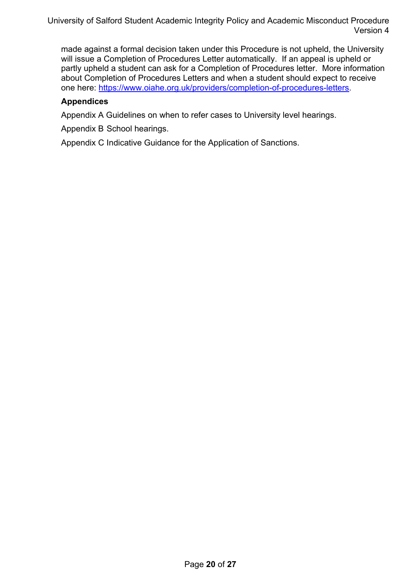made against a formal decision taken under this Procedure is not upheld, the University will issue a Completion of Procedures Letter automatically. If an appeal is upheld or partly upheld a student can ask for a Completion of Procedures letter. More information about Completion of Procedures Letters and when a student should expect to receive one here: https://www.oiahe.org.uk/providers/completion-of-procedures-letters.

# **Appendices**

Appendix A Guidelines on when to refer cases to University level hearings.

Appendix B School hearings.

Appendix C Indicative Guidance for the Application of Sanctions.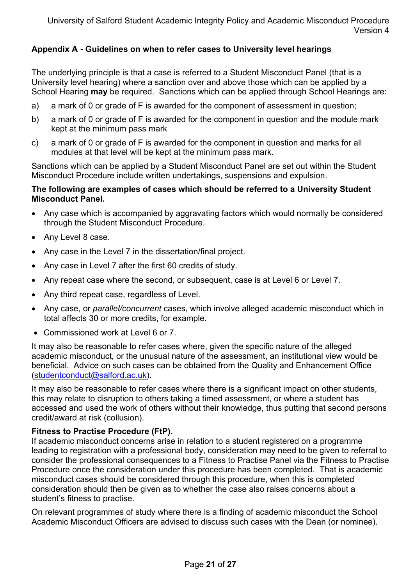# **Appendix A - Guidelines on when to refer cases to University level hearings**

The underlying principle is that a case is referred to a Student Misconduct Panel (that is a University level hearing) where a sanction over and above those which can be applied by a School Hearing **may** be required. Sanctions which can be applied through School Hearings are:

- a) a mark of 0 or grade of F is awarded for the component of assessment in question;
- b) a mark of 0 or grade of F is awarded for the component in question and the module mark kept at the minimum pass mark
- c) a mark of 0 or grade of F is awarded for the component in question and marks for all modules at that level will be kept at the minimum pass mark.

Sanctions which can be applied by a Student Misconduct Panel are set out within the Student Misconduct Procedure include written undertakings, suspensions and expulsion.

#### **The following are examples of cases which should be referred to a University Student Misconduct Panel.**

- Any case which is accompanied by aggravating factors which would normally be considered through the Student Misconduct Procedure.
- Any Level 8 case.
- Any case in the Level 7 in the dissertation/final project.
- Any case in Level 7 after the first 60 credits of study.
- Any repeat case where the second, or subsequent, case is at Level 6 or Level 7.
- Any third repeat case, regardless of Level.
- Any case, or *parallel/concurrent* cases, which involve alleged academic misconduct which in total affects 30 or more credits, for example.
- Commissioned work at Level 6 or 7.

It may also be reasonable to refer cases where, given the specific nature of the alleged academic misconduct, or the unusual nature of the assessment, an institutional view would be beneficial. Advice on such cases can be obtained from the Quality and Enhancement Office (studentconduct@salford.ac.uk).

It may also be reasonable to refer cases where there is a significant impact on other students, this may relate to disruption to others taking a timed assessment, or where a student has accessed and used the work of others without their knowledge, thus putting that second persons credit/award at risk (collusion).

#### **Fitness to Practise Procedure (FtP).**

If academic misconduct concerns arise in relation to a student registered on a programme leading to registration with a professional body, consideration may need to be given to referral to consider the professional consequences to a Fitness to Practise Panel via the Fitness to Practise Procedure once the consideration under this procedure has been completed. That is academic misconduct cases should be considered through this procedure, when this is completed consideration should then be given as to whether the case also raises concerns about a student's fitness to practise.

On relevant programmes of study where there is a finding of academic misconduct the School Academic Misconduct Officers are advised to discuss such cases with the Dean (or nominee).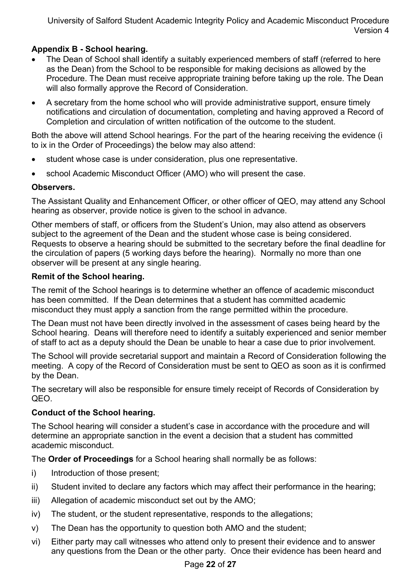# **Appendix B - School hearing.**

- The Dean of School shall identify a suitably experienced members of staff (referred to here as the Dean) from the School to be responsible for making decisions as allowed by the Procedure. The Dean must receive appropriate training before taking up the role. The Dean will also formally approve the Record of Consideration.
- A secretary from the home school who will provide administrative support, ensure timely notifications and circulation of documentation, completing and having approved a Record of Completion and circulation of written notification of the outcome to the student.

Both the above will attend School hearings. For the part of the hearing receiving the evidence (i to ix in the Order of Proceedings) the below may also attend:

- student whose case is under consideration, plus one representative.
- school Academic Misconduct Officer (AMO) who will present the case.

### **Observers.**

The Assistant Quality and Enhancement Officer, or other officer of QEO, may attend any School hearing as observer, provide notice is given to the school in advance.

Other members of staff, or officers from the Student's Union, may also attend as observers subject to the agreement of the Dean and the student whose case is being considered. Requests to observe a hearing should be submitted to the secretary before the final deadline for the circulation of papers (5 working days before the hearing). Normally no more than one observer will be present at any single hearing.

### **Remit of the School hearing.**

The remit of the School hearings is to determine whether an offence of academic misconduct has been committed. If the Dean determines that a student has committed academic misconduct they must apply a sanction from the range permitted within the procedure.

The Dean must not have been directly involved in the assessment of cases being heard by the School hearing. Deans will therefore need to identify a suitably experienced and senior member of staff to act as a deputy should the Dean be unable to hear a case due to prior involvement.

The School will provide secretarial support and maintain a Record of Consideration following the meeting. A copy of the Record of Consideration must be sent to QEO as soon as it is confirmed by the Dean.

The secretary will also be responsible for ensure timely receipt of Records of Consideration by QEO.

# **Conduct of the School hearing.**

The School hearing will consider a student's case in accordance with the procedure and will determine an appropriate sanction in the event a decision that a student has committed academic misconduct.

The **Order of Proceedings** for a School hearing shall normally be as follows:

- i) Introduction of those present;
- ii) Student invited to declare any factors which may affect their performance in the hearing;
- iii) Allegation of academic misconduct set out by the AMO;
- iv) The student, or the student representative, responds to the allegations;
- v) The Dean has the opportunity to question both AMO and the student;
- vi) Either party may call witnesses who attend only to present their evidence and to answer any questions from the Dean or the other party. Once their evidence has been heard and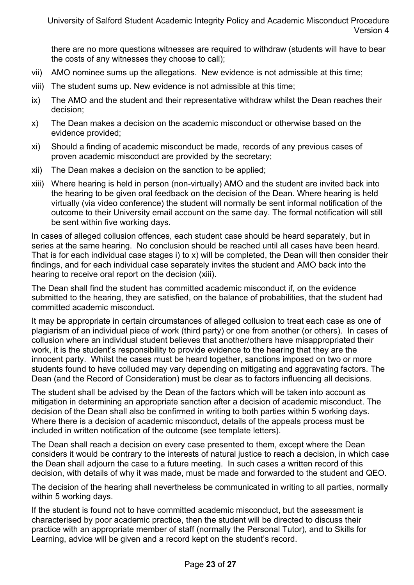there are no more questions witnesses are required to withdraw (students will have to bear the costs of any witnesses they choose to call);

- vii) AMO nominee sums up the allegations. New evidence is not admissible at this time;
- viii) The student sums up. New evidence is not admissible at this time;
- ix) The AMO and the student and their representative withdraw whilst the Dean reaches their decision;
- x) The Dean makes a decision on the academic misconduct or otherwise based on the evidence provided;
- xi) Should a finding of academic misconduct be made, records of any previous cases of proven academic misconduct are provided by the secretary;
- xii) The Dean makes a decision on the sanction to be applied;
- xiii) Where hearing is held in person (non-virtually) AMO and the student are invited back into the hearing to be given oral feedback on the decision of the Dean. Where hearing is held virtually (via video conference) the student will normally be sent informal notification of the outcome to their University email account on the same day. The formal notification will still be sent within five working days.

In cases of alleged collusion offences, each student case should be heard separately, but in series at the same hearing. No conclusion should be reached until all cases have been heard. That is for each individual case stages i) to x) will be completed, the Dean will then consider their findings, and for each individual case separately invites the student and AMO back into the hearing to receive oral report on the decision (xiii).

The Dean shall find the student has committed academic misconduct if, on the evidence submitted to the hearing, they are satisfied, on the balance of probabilities, that the student had committed academic misconduct.

It may be appropriate in certain circumstances of alleged collusion to treat each case as one of plagiarism of an individual piece of work (third party) or one from another (or others). In cases of collusion where an individual student believes that another/others have misappropriated their work, it is the student's responsibility to provide evidence to the hearing that they are the innocent party. Whilst the cases must be heard together, sanctions imposed on two or more students found to have colluded may vary depending on mitigating and aggravating factors. The Dean (and the Record of Consideration) must be clear as to factors influencing all decisions.

The student shall be advised by the Dean of the factors which will be taken into account as mitigation in determining an appropriate sanction after a decision of academic misconduct. The decision of the Dean shall also be confirmed in writing to both parties within 5 working days. Where there is a decision of academic misconduct, details of the appeals process must be included in written notification of the outcome (see template letters).

The Dean shall reach a decision on every case presented to them, except where the Dean considers it would be contrary to the interests of natural justice to reach a decision, in which case the Dean shall adjourn the case to a future meeting. In such cases a written record of this decision, with details of why it was made, must be made and forwarded to the student and QEO.

The decision of the hearing shall nevertheless be communicated in writing to all parties, normally within 5 working days.

If the student is found not to have committed academic misconduct, but the assessment is characterised by poor academic practice, then the student will be directed to discuss their practice with an appropriate member of staff (normally the Personal Tutor), and to Skills for Learning, advice will be given and a record kept on the student's record.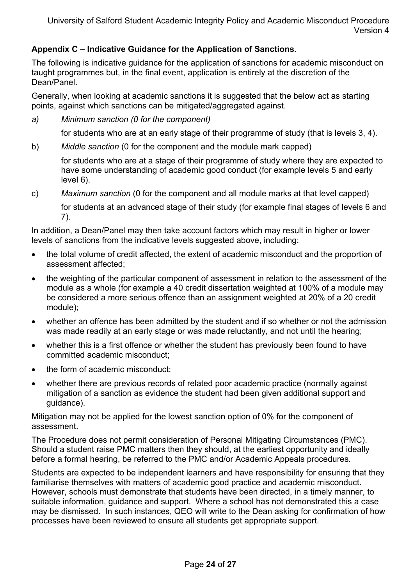# **Appendix C – Indicative Guidance for the Application of Sanctions.**

The following is indicative guidance for the application of sanctions for academic misconduct on taught programmes but, in the final event, application is entirely at the discretion of the Dean/Panel.

Generally, when looking at academic sanctions it is suggested that the below act as starting points, against which sanctions can be mitigated/aggregated against.

*a) Minimum sanction (0 for the component)* 

for students who are at an early stage of their programme of study (that is levels 3, 4).

b) *Middle sanction* (0 for the component and the module mark capped)

for students who are at a stage of their programme of study where they are expected to have some understanding of academic good conduct (for example levels 5 and early level 6).

c) *Maximum sanction* (0 for the component and all module marks at that level capped)

for students at an advanced stage of their study (for example final stages of levels 6 and 7).

In addition, a Dean/Panel may then take account factors which may result in higher or lower levels of sanctions from the indicative levels suggested above, including:

- the total volume of credit affected, the extent of academic misconduct and the proportion of assessment affected;
- the weighting of the particular component of assessment in relation to the assessment of the module as a whole (for example a 40 credit dissertation weighted at 100% of a module may be considered a more serious offence than an assignment weighted at 20% of a 20 credit module);
- whether an offence has been admitted by the student and if so whether or not the admission was made readily at an early stage or was made reluctantly, and not until the hearing;
- whether this is a first offence or whether the student has previously been found to have committed academic misconduct;
- the form of academic misconduct;
- whether there are previous records of related poor academic practice (normally against mitigation of a sanction as evidence the student had been given additional support and guidance).

Mitigation may not be applied for the lowest sanction option of 0% for the component of assessment.

The Procedure does not permit consideration of Personal Mitigating Circumstances (PMC). Should a student raise PMC matters then they should, at the earliest opportunity and ideally before a formal hearing, be referred to the PMC and/or Academic Appeals procedures*.* 

Students are expected to be independent learners and have responsibility for ensuring that they familiarise themselves with matters of academic good practice and academic misconduct. However, schools must demonstrate that students have been directed, in a timely manner, to suitable information, guidance and support. Where a school has not demonstrated this a case may be dismissed. In such instances, QEO will write to the Dean asking for confirmation of how processes have been reviewed to ensure all students get appropriate support.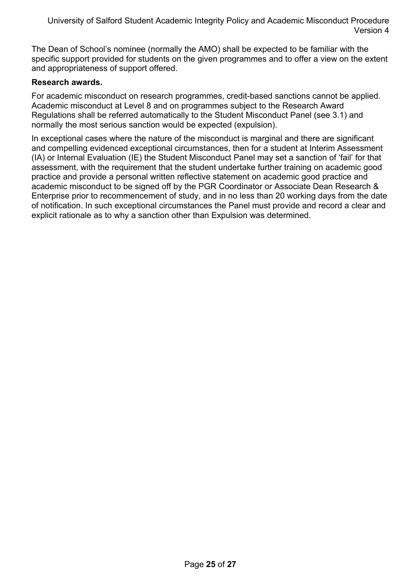The Dean of School's nominee (normally the AMO) shall be expected to be familiar with the specific support provided for students on the given programmes and to offer a view on the extent and appropriateness of support offered.

#### **Research awards.**

For academic misconduct on research programmes, credit-based sanctions cannot be applied. Academic misconduct at Level 8 and on programmes subject to the Research Award Regulations shall be referred automatically to the Student Misconduct Panel (see 3.1) and normally the most serious sanction would be expected (expulsion).

In exceptional cases where the nature of the misconduct is marginal and there are significant and compelling evidenced exceptional circumstances, then for a student at Interim Assessment (IA) or Internal Evaluation (IE) the Student Misconduct Panel may set a sanction of 'fail' for that assessment, with the requirement that the student undertake further training on academic good practice and provide a personal written reflective statement on academic good practice and academic misconduct to be signed off by the PGR Coordinator or Associate Dean Research & Enterprise prior to recommencement of study, and in no less than 20 working days from the date of notification. In such exceptional circumstances the Panel must provide and record a clear and explicit rationale as to why a sanction other than Expulsion was determined.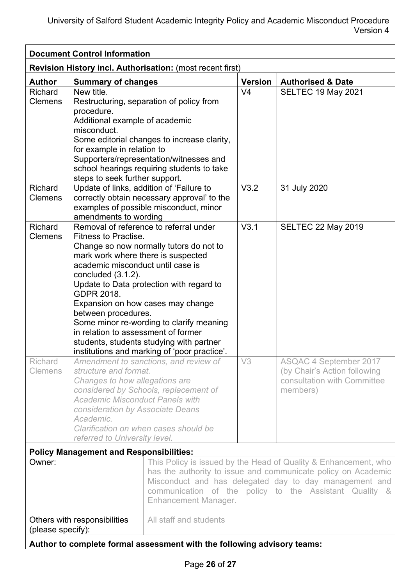| <b>Document Control Information</b>                       |                                                                                                                                                                                                                                                                                                                               |                                                                                                                                                                                                                                                                                                            |                |                                                                                                          |  |  |  |
|-----------------------------------------------------------|-------------------------------------------------------------------------------------------------------------------------------------------------------------------------------------------------------------------------------------------------------------------------------------------------------------------------------|------------------------------------------------------------------------------------------------------------------------------------------------------------------------------------------------------------------------------------------------------------------------------------------------------------|----------------|----------------------------------------------------------------------------------------------------------|--|--|--|
| Revision History incl. Authorisation: (most recent first) |                                                                                                                                                                                                                                                                                                                               |                                                                                                                                                                                                                                                                                                            |                |                                                                                                          |  |  |  |
| <b>Author</b>                                             | <b>Summary of changes</b>                                                                                                                                                                                                                                                                                                     |                                                                                                                                                                                                                                                                                                            | <b>Version</b> | <b>Authorised &amp; Date</b>                                                                             |  |  |  |
| Richard<br><b>Clemens</b>                                 | New title.<br>Restructuring, separation of policy from<br>procedure.<br>Additional example of academic<br>misconduct.<br>Some editorial changes to increase clarity,<br>for example in relation to<br>Supporters/representation/witnesses and<br>school hearings requiring students to take<br>steps to seek further support. |                                                                                                                                                                                                                                                                                                            |                | <b>SELTEC 19 May 2021</b>                                                                                |  |  |  |
| <b>Richard</b><br><b>Clemens</b>                          | Update of links, addition of 'Failure to<br>amendments to wording                                                                                                                                                                                                                                                             | correctly obtain necessary approval' to the<br>examples of possible misconduct, minor                                                                                                                                                                                                                      | V3.2           | 31 July 2020                                                                                             |  |  |  |
| Richard<br><b>Clemens</b>                                 | <b>Fitness to Practise.</b><br>mark work where there is suspected<br>academic misconduct until case is<br>concluded $(3.1.2)$ .<br><b>GDPR 2018.</b><br>between procedures.<br>in relation to assessment of former                                                                                                            | Removal of reference to referral under<br>Change so now normally tutors do not to<br>Update to Data protection with regard to<br>Expansion on how cases may change<br>Some minor re-wording to clarify meaning<br>students, students studying with partner<br>institutions and marking of 'poor practice'. | V3.1           | <b>SELTEC 22 May 2019</b>                                                                                |  |  |  |
| Richard<br><b>Clemens</b>                                 | structure and format.<br>Changes to how allegations are<br><b>Academic Misconduct Panels with</b><br>consideration by Associate Deans<br>Academic.<br>referred to University level.                                                                                                                                           | Amendment to sanctions, and review of<br>considered by Schools, replacement of<br>Clarification on when cases should be                                                                                                                                                                                    | V3             | <b>ASQAC 4 September 2017</b><br>(by Chair's Action following<br>consultation with Committee<br>members) |  |  |  |
|                                                           | <b>Policy Management and Responsibilities:</b>                                                                                                                                                                                                                                                                                |                                                                                                                                                                                                                                                                                                            |                |                                                                                                          |  |  |  |
| Owner:                                                    |                                                                                                                                                                                                                                                                                                                               | This Policy is issued by the Head of Quality & Enhancement, who<br>has the authority to issue and communicate policy on Academic<br>Misconduct and has delegated day to day management and<br>communication of the policy to the Assistant Quality &<br><b>Enhancement Manager.</b>                        |                |                                                                                                          |  |  |  |
| (please specify):                                         | Others with responsibilities                                                                                                                                                                                                                                                                                                  | All staff and students<br>Author to complete formal assessment with the following advisory teams:                                                                                                                                                                                                          |                |                                                                                                          |  |  |  |
|                                                           |                                                                                                                                                                                                                                                                                                                               |                                                                                                                                                                                                                                                                                                            |                |                                                                                                          |  |  |  |